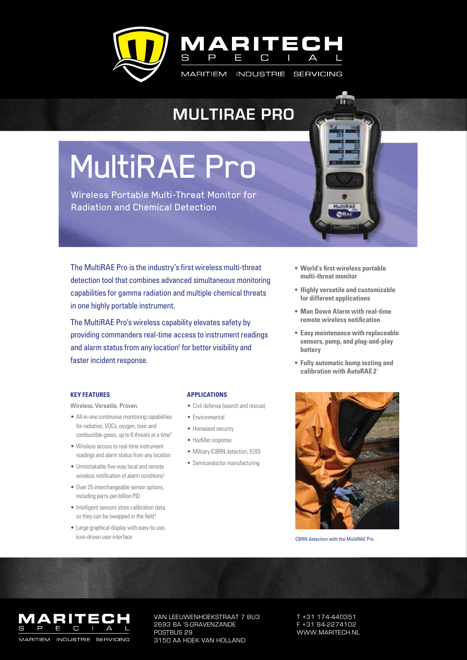

### **Multirae pro**

# MultiRAE Pro

Wireless Portable Multi-Threat Monitor for Radiation and Chemical Detection

The MultiRAE Pro is the industry's first wireless multi-threat detection tool that combines advanced simultaneous monitoring capabilities for gamma radiation and multiple chemical threats in one highly portable instrument.

The MultiRAE Pro's wireless capability elevates safety by providing commanders real-time access to instrument readings and alarm status from any location<sup>1</sup> for better visibility and faster incident response.

- **• World's first wireless portable multi-threat monitor**
- **• Highly versatile and customizable for different applications**
- **• Man Down Alarm with real-time remote wireless notification**
- **• Easy maintenance with replaceable sensors, pump, and plug-and-play battery**
- **• Fully automatic bump testing and calibration with AutoRAE 2**<sup>2</sup>

### **KEy FEAtuREs**

Wireless. Versatile. Proven.

- All-in-one continuous monitoring capabilities for radiation, VOCs, oxygen, toxic and combustible gases, up to 6 threats at a time<sup>3</sup>
- Wireless access to real-time instrument readings and alarm status from any location
- Unmistakable five-way local and remote wireless notification of alarm conditions<sup>1</sup>
- • Over 25 interchangeable sensor options, including parts-per-billion PID
- Intelligent sensors store calibration data, so they can be swapped in the field<sup>4</sup>
- • Large graphical display with easy-to-use, icon-driven user interface

### **ApplicAtions**

- • Civil defense (search and rescue)
- • Environmental
- Homeland security
- • HazMat response
- Military (CBRN detection, EOD)
- Semiconductor manufacturing



CBRN detection with the MultiRAE Pro



Van Leeuwenhoekstraat 7 BU3 2693 BA 's-Gravenzande POSTBUS 29 3150 AA hoek van Holland

T +31 174-440351 F +31 84-2274102 www.maritech.nl